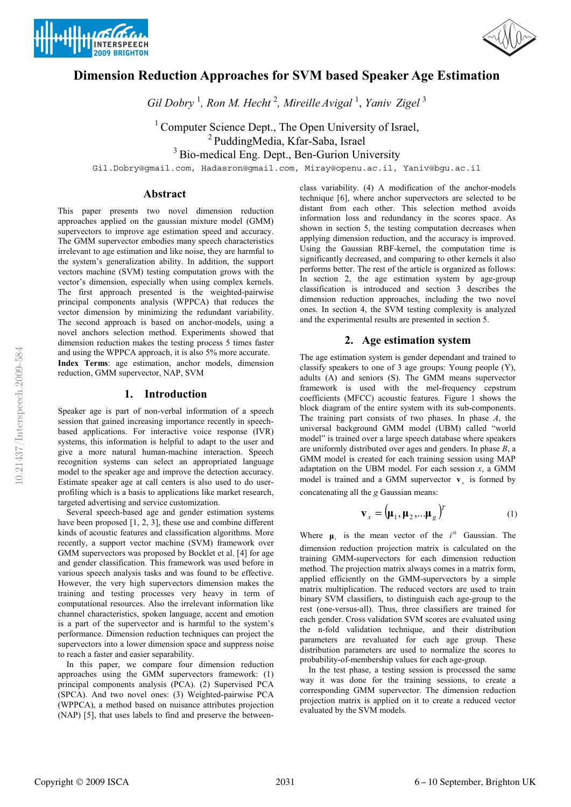





# **Dimension Reduction Approaches for SVM based Speaker Age Estimation**

*Gil Dobry* <sup>1</sup> *, Ron M. Hecht* <sup>2</sup> *, Mireille Avigal* <sup>1</sup> , *Yaniv Zigel* <sup>3</sup>

 $1$  Computer Science Dept., The Open University of Israel, <sup>2</sup> PuddingMedia, Kfar-Saba, Israel <sup>3</sup> Bio-medical Eng. Dept., Ben-Gurion University

Gil.Dobry@gmail.com, Hadasron@gmail.com, Miray@openu.ac.il, Yaniv@bgu.ac.il

## **Abstract**

This paper presents two novel dimension reduction approaches applied on the gaussian mixture model (GMM) supervectors to improve age estimation speed and accuracy. The GMM supervector embodies many speech characteristics irrelevant to age estimation and like noise, they are harmful to the system's generalization ability. In addition, the support vectors machine (SVM) testing computation grows with the vector's dimension, especially when using complex kernels. The first approach presented is the weighted-pairwise principal components analysis (WPPCA) that reduces the vector dimension by minimizing the redundant variability. The second approach is based on anchor-models, using a novel anchors selection method. Experiments showed that dimension reduction makes the testing process 5 times faster and using the WPPCA approach, it is also 5% more accurate. **Index Terms**: age estimation, anchor models, dimension reduction, GMM supervector, NAP, SVM

### **1. Introduction**

Speaker age is part of non-verbal information of a speech session that gained increasing importance recently in speechbased applications. For interactive voice response (IVR) systems, this information is helpful to adapt to the user and give a more natural human-machine interaction. Speech recognition systems can select an appropriated language model to the speaker age and improve the detection accuracy. Estimate speaker age at call centers is also used to do userprofiling which is a basis to applications like market research, targeted advertising and service customization.

Several speech-based age and gender estimation systems have been proposed [1, 2, 3], these use and combine different kinds of acoustic features and classification algorithms. More recently, a support vector machine (SVM) framework over GMM supervectors was proposed by Bocklet et al. [4] for age and gender classification. This framework was used before in various speech analysis tasks and was found to be effective. However, the very high supervectors dimension makes the training and testing processes very heavy in term of computational resources. Also the irrelevant information like channel characteristics, spoken language, accent and emotion is a part of the supervector and is harmful to the system's performance. Dimension reduction techniques can project the supervectors into a lower dimension space and suppress noise to reach a faster and easier separability.

In this paper, we compare four dimension reduction approaches using the GMM supervectors framework: (1) principal components analysis (PCA). (2) Supervised PCA (SPCA). And two novel ones: (3) Weighted-pairwise PCA (WPPCA), a method based on nuisance attributes projection (NAP) [5], that uses labels to find and preserve the betweenclass variability. (4) A modification of the anchor-models technique [6], where anchor supervectors are selected to be distant from each other. This selection method avoids information loss and redundancy in the scores space. As shown in section 5, the testing computation decreases when applying dimension reduction, and the accuracy is improved. Using the Gaussian RBF-kernel, the computation time is significantly decreased, and comparing to other kernels it also performs better. The rest of the article is organized as follows: In section 2, the age estimation system by age-group classification is introduced and section 3 describes the dimension reduction approaches, including the two novel ones. In section 4, the SVM testing complexity is analyzed and the experimental results are presented in section 5.

## **2. Age estimation system**

The age estimation system is gender dependant and trained to classify speakers to one of 3 age groups: Young people (Y), adults (A) and seniors (S). The GMM means supervector framework is used with the mel-frequency cepstrum coefficients (MFCC) acoustic features. Figure 1 shows the block diagram of the entire system with its sub-components. The training part consists of two phases. In phase *A*, the universal background GMM model (UBM) called "world model" is trained over a large speech database where speakers are uniformly distributed over ages and genders. In phase *B*, a GMM model is created for each training session using MAP adaptation on the UBM model. For each session  $x$ , a GMM model is trained and a GMM supervector  $\mathbf{v}$  is formed by concatenating all the *g* Gaussian means:

$$
\mathbf{v}_x = (\mathbf{\mu}_1, \mathbf{\mu}_2, \dots, \mathbf{\mu}_g)^T
$$
 (1)

Where  $\mu_i$  is the mean vector of the  $i^{th}$  Gaussian. The dimension reduction projection matrix is calculated on the training GMM-supervectors for each dimension reduction method. The projection matrix always comes in a matrix form, applied efficiently on the GMM-supervectors by a simple matrix multiplication. The reduced vectors are used to train binary SVM classifiers, to distinguish each age-group to the rest (one-versus-all). Thus, three classifiers are trained for each gender. Cross validation SVM scores are evaluated using the n-fold validation technique, and their distribution parameters are revaluated for each age group. These distribution parameters are used to normalize the scores to probability-of-membership values for each age-group.

In the test phase, a testing session is processed the same way it was done for the training sessions, to create a corresponding GMM supervector. The dimension reduction projection matrix is applied on it to create a reduced vector evaluated by the SVM models.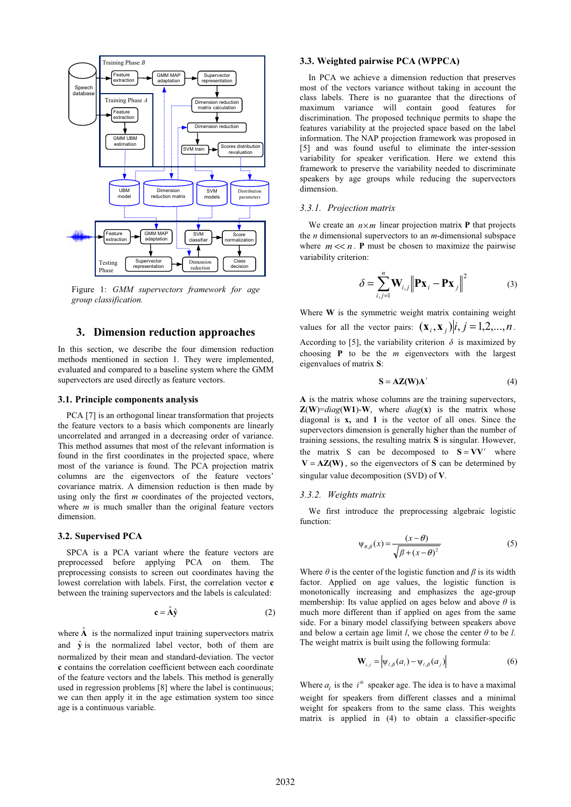

Figure 1: *GMM supervectors framework for age group classification.*

## **3. Dimension reduction approaches**

In this section, we describe the four dimension reduction methods mentioned in section 1. They were implemented, evaluated and compared to a baseline system where the GMM supervectors are used directly as feature vectors.

#### **3.1. Principle components analysis**

PCA [7] is an orthogonal linear transformation that projects the feature vectors to a basis which components are linearly uncorrelated and arranged in a decreasing order of variance. This method assumes that most of the relevant information is found in the first coordinates in the projected space, where most of the variance is found. The PCA projection matrix columns are the eigenvectors of the feature vectors' covariance matrix. A dimension reduction is then made by using only the first *m* coordinates of the projected vectors, where *m* is much smaller than the original feature vectors dimension.

#### **3.2. Supervised PCA**

SPCA is a PCA variant where the feature vectors are preprocessed before applying PCA on them. The preprocessing consists to screen out coordinates having the lowest correlation with labels. First, the correlation vector **c** between the training supervectors and the labels is calculated:

$$
\mathbf{c} = \hat{\mathbf{A}} \hat{\mathbf{y}} \tag{2}
$$

where  $\hat{A}$  is the normalized input training supervectors matrix and  $\hat{y}$  is the normalized label vector, both of them are normalized by their mean and standard-deviation. The vector **c** contains the correlation coefficient between each coordinate of the feature vectors and the labels. This method is generally used in regression problems [8] where the label is continuous; we can then apply it in the age estimation system too since age is a continuous variable.

#### **3.3. Weighted pairwise PCA (WPPCA)**

In PCA we achieve a dimension reduction that preserves most of the vectors variance without taking in account the class labels. There is no guarantee that the directions of maximum variance will contain good features for discrimination. The proposed technique permits to shape the features variability at the projected space based on the label information. The NAP projection framework was proposed in [5] and was found useful to eliminate the inter-session variability for speaker verification. Here we extend this framework to preserve the variability needed to discriminate speakers by age groups while reducing the supervectors dimension.

#### *3.3.1. Projection matrix*

We create an  $n \times m$  linear projection matrix **P** that projects the *n* dimensional supervectors to an *m*-dimensional subspace where  $m \ll n$ . **P** must be chosen to maximize the pairwise variability criterion:

$$
\delta = \sum_{i,j=1}^{n} \mathbf{W}_{i,j} \left\| \mathbf{P} \mathbf{x}_i - \mathbf{P} \mathbf{x}_j \right\|^2 \tag{3}
$$

Where **W** is the symmetric weight matrix containing weight values for all the vector pairs:  $(\mathbf{x}_i, \mathbf{x}_j)|i, j = 1, 2, ..., n$ . According to [5], the variability criterion  $\delta$  is maximized by choosing **P** to be the *m* eigenvectors with the largest eigenvalues of matrix **S**:

$$
S = AZ(W)A' \tag{4}
$$

**A** is the matrix whose columns are the training supervectors,  $\mathbf{Z}(\mathbf{W}) = diag(\mathbf{W1}) - \mathbf{W}$ , where *diag*(**x**) is the matrix whose diagonal is **x,** and **1** is the vector of all ones. Since the supervectors dimension is generally higher than the number of training sessions, the resulting matrix **S** is singular. However, the matrix S can be decomposed to  $S = VV'$  where  $V = AZ(W)$ , so the eigenvectors of **S** can be determined by singular value decomposition (SVD) of **V**.

#### *3.3.2. Weights matrix*

We first introduce the preprocessing algebraic logistic function:

$$
\Psi_{\theta,\beta}(x) = \frac{(x-\theta)}{\sqrt{\beta + (x-\theta)^2}}
$$
(5)

Where  $\theta$  is the center of the logistic function and  $\beta$  is its width factor. Applied on age values, the logistic function is monotonically increasing and emphasizes the age-group membership: Its value applied on ages below and above  $\theta$  is much more different than if applied on ages from the same side. For a binary model classifying between speakers above and below a certain age limit *l*, we chose the center  $\theta$  to be *l*. The weight matrix is built using the following formula:

$$
\mathbf{W}_{i,j} = \left| \Psi_{l,\beta}(a_i) - \Psi_{l,\beta}(a_j) \right| \tag{6}
$$

Where  $a_i$  is the  $i^{th}$  speaker age. The idea is to have a maximal weight for speakers from different classes and a minimal weight for speakers from to the same class. This weights matrix is applied in (4) to obtain a classifier-specific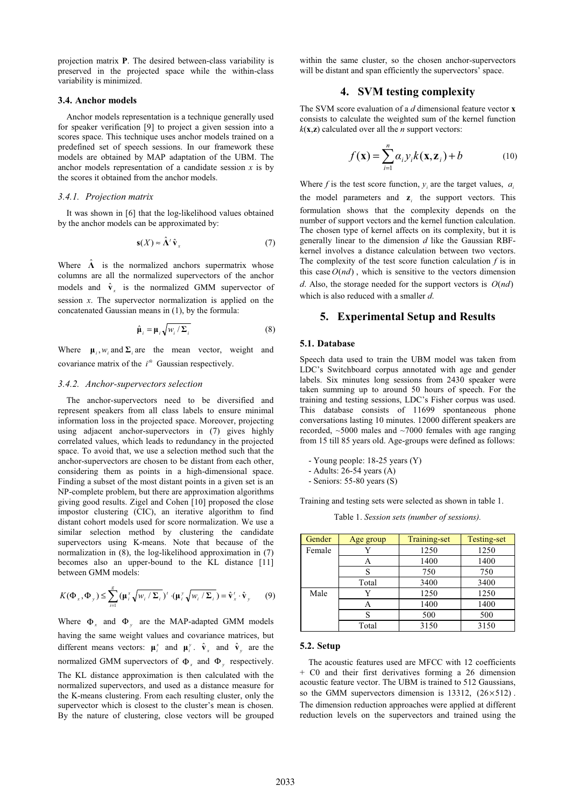projection matrix **P**. The desired between-class variability is preserved in the projected space while the within-class variability is minimized.

#### **3.4. Anchor models**

Anchor models representation is a technique generally used for speaker verification [9] to project a given session into a scores space. This technique uses anchor models trained on a predefined set of speech sessions. In our framework these models are obtained by MAP adaptation of the UBM. The anchor models representation of a candidate session *x* is by the scores it obtained from the anchor models.

#### *3.4.1. Projection matrix*

It was shown in [6] that the log-likelihood values obtained by the anchor models can be approximated by:

$$
\mathbf{s}(X) \approx \hat{\mathbf{\Lambda}}^t \hat{\mathbf{v}}_x \tag{7}
$$

Where  $\Lambda$  is the normalized anchors supermatrix whose columns are all the normalized supervectors of the anchor models and  $\hat{\mathbf{v}}$ <sub>x</sub> is the normalized GMM supervector of session *x*. The supervector normalization is applied on the concatenated Gaussian means in (1), by the formula:

$$
\hat{\mu}_i = \mu_i \sqrt{w_i / \Sigma_i} \tag{8}
$$

Where  $\mu_i$ ,  $w_i$  and  $\Sigma_i$  are the mean vector, weight and covariance matrix of the  $i^{th}$  Gaussian respectively.

#### *3.4.2. Anchor-supervectors selection*

The anchor-supervectors need to be diversified and represent speakers from all class labels to ensure minimal information loss in the projected space. Moreover, projecting using adjacent anchor-supervectors in (7) gives highly correlated values, which leads to redundancy in the projected space. To avoid that, we use a selection method such that the anchor-supervectors are chosen to be distant from each other, considering them as points in a high-dimensional space. Finding a subset of the most distant points in a given set is an NP-complete problem, but there are approximation algorithms giving good results. Zigel and Cohen [10] proposed the close impostor clustering (CIC), an iterative algorithm to find distant cohort models used for score normalization. We use a similar selection method by clustering the candidate supervectors using K-means. Note that because of the normalization in (8), the log-likelihood approximation in (7) becomes also an upper-bound to the KL distance [11] between GMM models:

$$
K(\Phi_x, \Phi_y) \leq \sum_{i=1}^g (\mu_i^x \sqrt{w_i / \Sigma_i})' \cdot (\mu_i^y \sqrt{w_i / \Sigma_i}) = \hat{\mathbf{v}}_x' \cdot \hat{\mathbf{v}}_y \qquad (9)
$$

Where  $\Phi_x$  and  $\Phi_y$  are the MAP-adapted GMM models having the same weight values and covariance matrices, but different means vectors:  $\boldsymbol{\mu}_i^x$  and  $\boldsymbol{\mu}_i^y$ .  $\hat{\mathbf{v}}_x$  and  $\hat{\mathbf{v}}_y$  are the normalized GMM supervectors of  $\Phi_x$  and  $\Phi_y$  respectively.

The KL distance approximation is then calculated with the normalized supervectors, and used as a distance measure for the K-means clustering. From each resulting cluster, only the supervector which is closest to the cluster's mean is chosen. By the nature of clustering, close vectors will be grouped within the same cluster, so the chosen anchor-supervectors will be distant and span efficiently the supervectors' space.

## **4. SVM testing complexity**

The SVM score evaluation of a *d* dimensional feature vector **x** consists to calculate the weighted sum of the kernel function  $k(x, z)$  calculated over all the *n* support vectors:

$$
f(\mathbf{x}) = \sum_{i=1}^{n} \alpha_i y_i k(\mathbf{x}, \mathbf{z}_i) + b \tag{10}
$$

Where *f* is the test score function,  $y_i$  are the target values,  $a_i$ the model parameters and  $z_i$  the support vectors. This formulation shows that the complexity depends on the number of support vectors and the kernel function calculation. The chosen type of kernel affects on its complexity, but it is generally linear to the dimension *d* like the Gaussian RBFkernel involves a distance calculation between two vectors. The complexity of the test score function calculation *f* is in this case  $O(nd)$ , which is sensitive to the vectors dimension *d*. Also, the storage needed for the support vectors is  $O(nd)$ 

## **5. Experimental Setup and Results**

#### **5.1. Database**

Speech data used to train the UBM model was taken from LDC's Switchboard corpus annotated with age and gender labels. Six minutes long sessions from 2430 speaker were taken summing up to around 50 hours of speech. For the training and testing sessions, LDC's Fisher corpus was used. This database consists of 11699 spontaneous phone conversations lasting 10 minutes. 12000 different speakers are recorded,  $\sim$ 5000 males and  $\sim$ 7000 females with age ranging from 15 till 85 years old. Age-groups were defined as follows:

- Young people: 18-25 years (Y)

which is also reduced with a smaller *d*.

- Adults: 26-54 years (A)

- Seniors: 55-80 years (S)

Training and testing sets were selected as shown in table 1.

Table 1. *Session sets (number of sessions).* 

| Gender | Age group | Training-set | <b>Testing-set</b> |
|--------|-----------|--------------|--------------------|
| Female |           | 1250         | 1250               |
|        |           | 1400         | 1400               |
|        | S         | 750          | 750                |
|        | Total     | 3400         | 3400               |
| Male   | v         | 1250         | 1250               |
|        | Α         | 1400         | 1400               |
|        | S         | 500          | 500                |
|        | Total     | 3150         | 3150               |

#### **5.2. Setup**

The acoustic features used are MFCC with 12 coefficients + C0 and their first derivatives forming a 26 dimension acoustic feature vector. The UBM is trained to 512 Gaussians, so the GMM supervectors dimension is  $13312$ ,  $(26\times512)$ . The dimension reduction approaches were applied at different reduction levels on the supervectors and trained using the